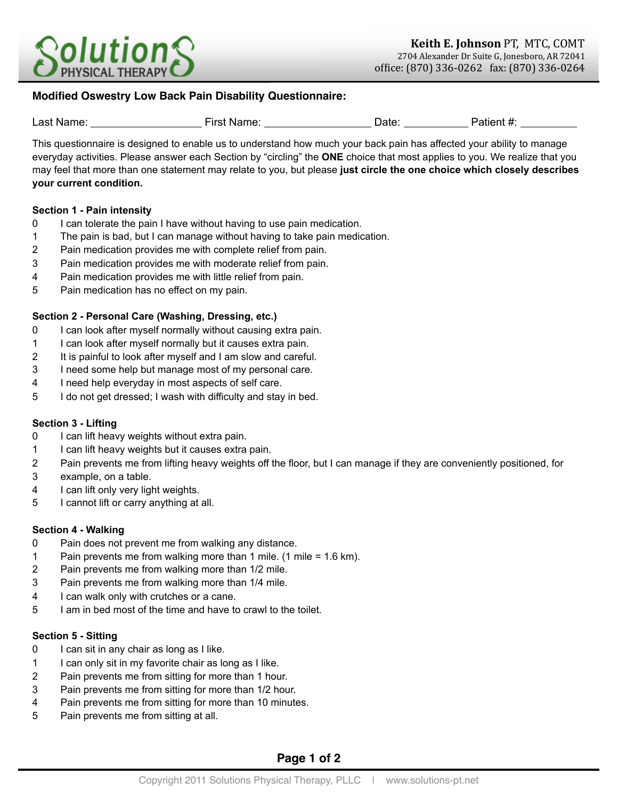

# **Modified Oswestry Low Back Pain Disability Questionnaire:**

| Last Name: | First Name: | Date: | Patient #: |
|------------|-------------|-------|------------|

This questionnaire is designed to enable us to understand how much your back pain has affected your ability to manage everyday activities. Please answer each Section by "circling" the **ONE** choice that most applies to you. We realize that you may feel that more than one statement may relate to you, but please **just circle the one choice which closely describes your current condition.**

### **Section 1 - Pain intensity**

- 0 I can tolerate the pain I have without having to use pain medication.
- 1 The pain is bad, but I can manage without having to take pain medication.
- 2 Pain medication provides me with complete relief from pain.
- 3 Pain medication provides me with moderate relief from pain.
- 4 Pain medication provides me with little relief from pain.
- 5 Pain medication has no effect on my pain.

## **Section 2 - Personal Care (Washing, Dressing, etc.)**

- 0 I can look after myself normally without causing extra pain.
- 1 I can look after myself normally but it causes extra pain.
- 2 It is painful to look after myself and I am slow and careful.
- 3 I need some help but manage most of my personal care.
- 4 I need help everyday in most aspects of self care.
- 5 I do not get dressed; I wash with difficulty and stay in bed.

### **Section 3 - Lifting**

- 0 I can lift heavy weights without extra pain.
- 1 I can lift heavy weights but it causes extra pain.
- 2 Pain prevents me from lifting heavy weights off the floor, but I can manage if they are conveniently positioned, for
- 3 example, on a table.
- 4 I can lift only very light weights.
- 5 I cannot lift or carry anything at all.

## **Section 4 - Walking**

- 0 Pain does not prevent me from walking any distance.
- 1 Pain prevents me from walking more than 1 mile. (1 mile = 1.6 km).
- 2 Pain prevents me from walking more than 1/2 mile.
- 3 Pain prevents me from walking more than 1/4 mile.
- 4 I can walk only with crutches or a cane.
- 5 I am in bed most of the time and have to crawl to the toilet.

# **Section 5 - Sitting**

- 0 I can sit in any chair as long as I like.
- 1 I can only sit in my favorite chair as long as I like.
- 2 Pain prevents me from sitting for more than 1 hour.
- 3 Pain prevents me from sitting for more than 1/2 hour.
- 4 Pain prevents me from sitting for more than 10 minutes.
- 5 Pain prevents me from sitting at all.